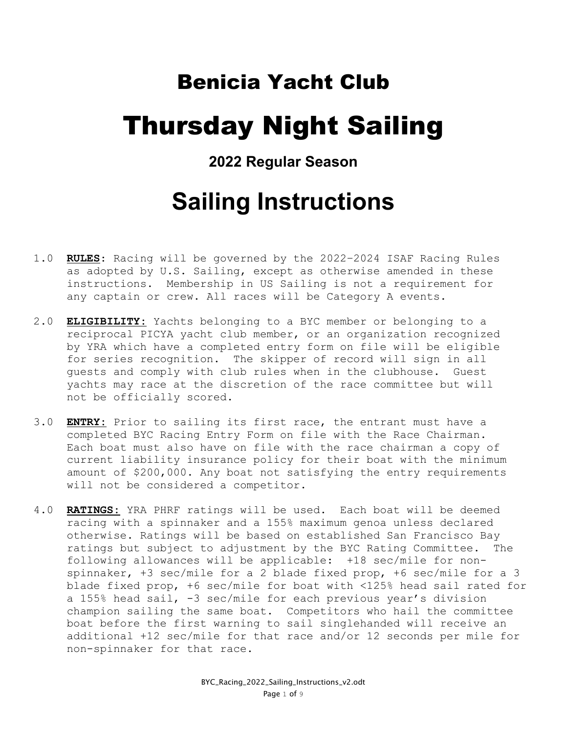## Benicia Yacht Club

## Thursday Night Sailing

## **2022 Regular Season**

## **Sailing Instructions**

- 1.0 **RULES**: Racing will be governed by the 2022–2024 ISAF Racing Rules as adopted by U.S. Sailing, except as otherwise amended in these instructions. Membership in US Sailing is not a requirement for any captain or crew. All races will be Category A events.
- 2.0 **ELIGIBILITY:** Yachts belonging to a BYC member or belonging to a reciprocal PICYA yacht club member, or an organization recognized by YRA which have a completed entry form on file will be eligible for series recognition. The skipper of record will sign in all guests and comply with club rules when in the clubhouse. Guest yachts may race at the discretion of the race committee but will not be officially scored.
- 3.0 **ENTRY:** Prior to sailing its first race, the entrant must have a completed BYC Racing Entry Form on file with the Race Chairman. Each boat must also have on file with the race chairman a copy of current liability insurance policy for their boat with the minimum amount of \$200,000. Any boat not satisfying the entry requirements will not be considered a competitor.
- 4.0 **RATINGS:** YRA PHRF ratings will be used. Each boat will be deemed racing with a spinnaker and a 155% maximum genoa unless declared otherwise. Ratings will be based on established San Francisco Bay ratings but subject to adjustment by the BYC Rating Committee. The following allowances will be applicable: +18 sec/mile for nonspinnaker, +3 sec/mile for a 2 blade fixed prop, +6 sec/mile for a 3 blade fixed prop, +6 sec/mile for boat with <125% head sail rated for a 155% head sail, -3 sec/mile for each previous year's division champion sailing the same boat. Competitors who hail the committee boat before the first warning to sail singlehanded will receive an additional +12 sec/mile for that race and/or 12 seconds per mile for non-spinnaker for that race.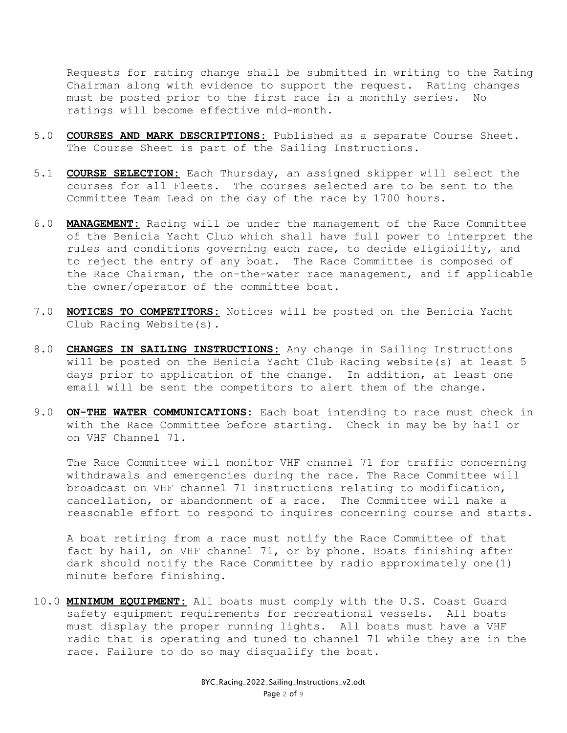Requests for rating change shall be submitted in writing to the Rating Chairman along with evidence to support the request. Rating changes must be posted prior to the first race in a monthly series. No ratings will become effective mid-month.

- 5.0 **COURSES AND MARK DESCRIPTIONS:** Published as a separate Course Sheet. The Course Sheet is part of the Sailing Instructions.
- 5.1 **COURSE SELECTION:** Each Thursday, an assigned skipper will select the courses for all Fleets. The courses selected are to be sent to the Committee Team Lead on the day of the race by 1700 hours.
- 6.0 **MANAGEMENT:** Racing will be under the management of the Race Committee of the Benicia Yacht Club which shall have full power to interpret the rules and conditions governing each race, to decide eligibility, and to reject the entry of any boat. The Race Committee is composed of the Race Chairman, the on-the-water race management, and if applicable the owner/operator of the committee boat.
- 7.0 **NOTICES TO COMPETITORS:** Notices will be posted on the Benicia Yacht Club Racing Website(s).
- 8.0 **CHANGES IN SAILING INSTRUCTIONS:** Any change in Sailing Instructions will be posted on the Benicia Yacht Club Racing website(s) at least 5 days prior to application of the change. In addition, at least one email will be sent the competitors to alert them of the change.
- 9.0 **ON-THE WATER COMMUNICATIONS:** Each boat intending to race must check in with the Race Committee before starting. Check in may be by hail or on VHF Channel 71.

The Race Committee will monitor VHF channel 71 for traffic concerning withdrawals and emergencies during the race. The Race Committee will broadcast on VHF channel 71 instructions relating to modification, cancellation, or abandonment of a race. The Committee will make a reasonable effort to respond to inquires concerning course and starts.

A boat retiring from a race must notify the Race Committee of that fact by hail, on VHF channel 71, or by phone. Boats finishing after dark should notify the Race Committee by radio approximately one(1) minute before finishing.

10.0 **MINIMUM EQUIPMENT:** All boats must comply with the U.S. Coast Guard safety equipment requirements for recreational vessels. All boats must display the proper running lights. All boats must have a VHF radio that is operating and tuned to channel 71 while they are in the race. Failure to do so may disqualify the boat.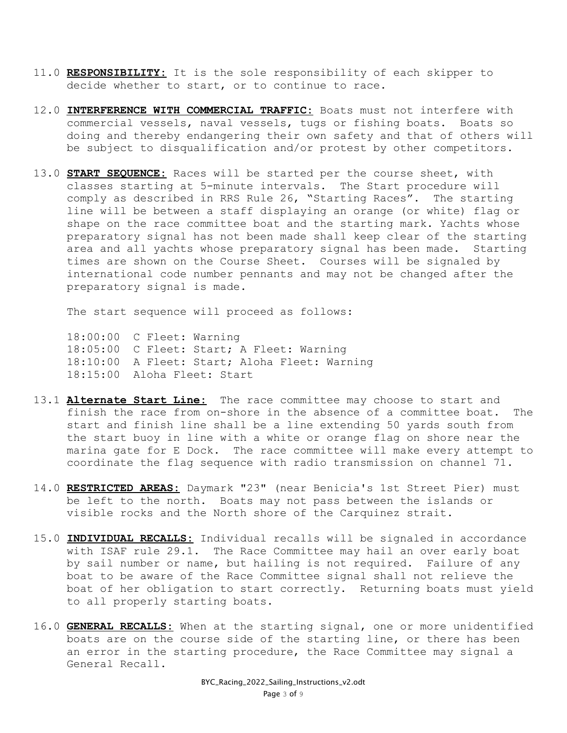- 11.0 **RESPONSIBILITY:** It is the sole responsibility of each skipper to decide whether to start, or to continue to race.
- 12.0 **INTERFERENCE WITH COMMERCIAL TRAFFIC:** Boats must not interfere with commercial vessels, naval vessels, tugs or fishing boats. Boats so doing and thereby endangering their own safety and that of others will be subject to disqualification and/or protest by other competitors.
- 13.0 **START SEQUENCE:** Races will be started per the course sheet, with classes starting at 5-minute intervals. The Start procedure will comply as described in RRS Rule 26, "Starting Races". The starting line will be between a staff displaying an orange (or white) flag or shape on the race committee boat and the starting mark. Yachts whose preparatory signal has not been made shall keep clear of the starting area and all yachts whose preparatory signal has been made. Starting times are shown on the Course Sheet. Courses will be signaled by international code number pennants and may not be changed after the preparatory signal is made.

The start sequence will proceed as follows:

18:00:00 C Fleet: Warning 18:05:00 C Fleet: Start; A Fleet: Warning 18:10:00 A Fleet: Start; Aloha Fleet: Warning 18:15:00 Aloha Fleet: Start

- 13.1 **Alternate Start Line:** The race committee may choose to start and finish the race from on-shore in the absence of a committee boat. The start and finish line shall be a line extending 50 yards south from the start buoy in line with a white or orange flag on shore near the marina gate for E Dock. The race committee will make every attempt to coordinate the flag sequence with radio transmission on channel 71.
- 14.0 **RESTRICTED AREAS:** Daymark "23" (near Benicia's 1st Street Pier) must be left to the north. Boats may not pass between the islands or visible rocks and the North shore of the Carquinez strait.
- 15.0 **INDIVIDUAL RECALLS:** Individual recalls will be signaled in accordance with ISAF rule 29.1. The Race Committee may hail an over early boat by sail number or name, but hailing is not required. Failure of any boat to be aware of the Race Committee signal shall not relieve the boat of her obligation to start correctly. Returning boats must yield to all properly starting boats.
- 16.0 **GENERAL RECALLS:** When at the starting signal, one or more unidentified boats are on the course side of the starting line, or there has been an error in the starting procedure, the Race Committee may signal a General Recall.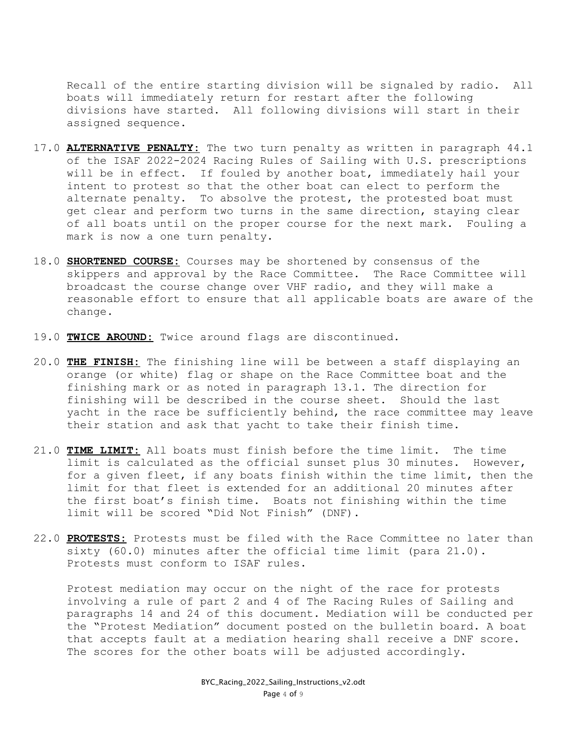Recall of the entire starting division will be signaled by radio. All boats will immediately return for restart after the following divisions have started. All following divisions will start in their assigned sequence.

- 17.0 **ALTERNATIVE PENALTY:** The two turn penalty as written in paragraph 44.1 of the ISAF 2022-2024 Racing Rules of Sailing with U.S. prescriptions will be in effect. If fouled by another boat, immediately hail your intent to protest so that the other boat can elect to perform the alternate penalty. To absolve the protest, the protested boat must get clear and perform two turns in the same direction, staying clear of all boats until on the proper course for the next mark. Fouling a mark is now a one turn penalty.
- 18.0 **SHORTENED COURSE:** Courses may be shortened by consensus of the skippers and approval by the Race Committee. The Race Committee will broadcast the course change over VHF radio, and they will make a reasonable effort to ensure that all applicable boats are aware of the change.
- 19.0 **TWICE AROUND:** Twice around flags are discontinued.
- 20.0 **THE FINISH:** The finishing line will be between a staff displaying an orange (or white) flag or shape on the Race Committee boat and the finishing mark or as noted in paragraph 13.1. The direction for finishing will be described in the course sheet. Should the last yacht in the race be sufficiently behind, the race committee may leave their station and ask that yacht to take their finish time.
- 21.0 **TIME LIMIT:** All boats must finish before the time limit. The time limit is calculated as the official sunset plus 30 minutes. However, for a given fleet, if any boats finish within the time limit, then the limit for that fleet is extended for an additional 20 minutes after the first boat's finish time. Boats not finishing within the time limit will be scored "Did Not Finish" (DNF).
- 22.0 **PROTESTS:** Protests must be filed with the Race Committee no later than sixty (60.0) minutes after the official time limit (para 21.0). Protests must conform to ISAF rules.

Protest mediation may occur on the night of the race for protests involving a rule of part 2 and 4 of The Racing Rules of Sailing and paragraphs 14 and 24 of this document. Mediation will be conducted per the "Protest Mediation" document posted on the bulletin board. A boat that accepts fault at a mediation hearing shall receive a DNF score. The scores for the other boats will be adjusted accordingly.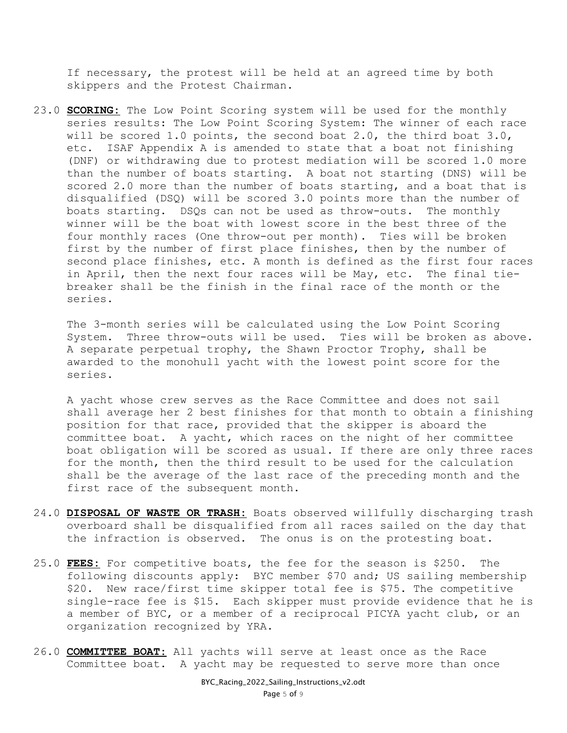If necessary, the protest will be held at an agreed time by both skippers and the Protest Chairman.

23.0 **SCORING:** The Low Point Scoring system will be used for the monthly series results: The Low Point Scoring System: The winner of each race will be scored 1.0 points, the second boat 2.0, the third boat 3.0, etc. ISAF Appendix A is amended to state that a boat not finishing (DNF) or withdrawing due to protest mediation will be scored 1.0 more than the number of boats starting. A boat not starting (DNS) will be scored 2.0 more than the number of boats starting, and a boat that is disqualified (DSQ) will be scored 3.0 points more than the number of boats starting. DSQs can not be used as throw-outs. The monthly winner will be the boat with lowest score in the best three of the four monthly races (One throw-out per month). Ties will be broken first by the number of first place finishes, then by the number of second place finishes, etc. A month is defined as the first four races in April, then the next four races will be May, etc. The final tiebreaker shall be the finish in the final race of the month or the series.

The 3-month series will be calculated using the Low Point Scoring System. Three throw-outs will be used. Ties will be broken as above. A separate perpetual trophy, the Shawn Proctor Trophy, shall be awarded to the monohull yacht with the lowest point score for the series.

A yacht whose crew serves as the Race Committee and does not sail shall average her 2 best finishes for that month to obtain a finishing position for that race, provided that the skipper is aboard the committee boat. A yacht, which races on the night of her committee boat obligation will be scored as usual. If there are only three races for the month, then the third result to be used for the calculation shall be the average of the last race of the preceding month and the first race of the subsequent month.

- 24.0 **DISPOSAL OF WASTE OR TRASH:** Boats observed willfully discharging trash overboard shall be disqualified from all races sailed on the day that the infraction is observed. The onus is on the protesting boat.
- 25.0 **FEES:** For competitive boats, the fee for the season is \$250. The following discounts apply: BYC member \$70 and; US sailing membership \$20. New race/first time skipper total fee is \$75. The competitive single-race fee is \$15. Each skipper must provide evidence that he is a member of BYC, or a member of a reciprocal PICYA yacht club, or an organization recognized by YRA.
- 26.0 **COMMITTEE BOAT:** All yachts will serve at least once as the Race Committee boat. A yacht may be requested to serve more than once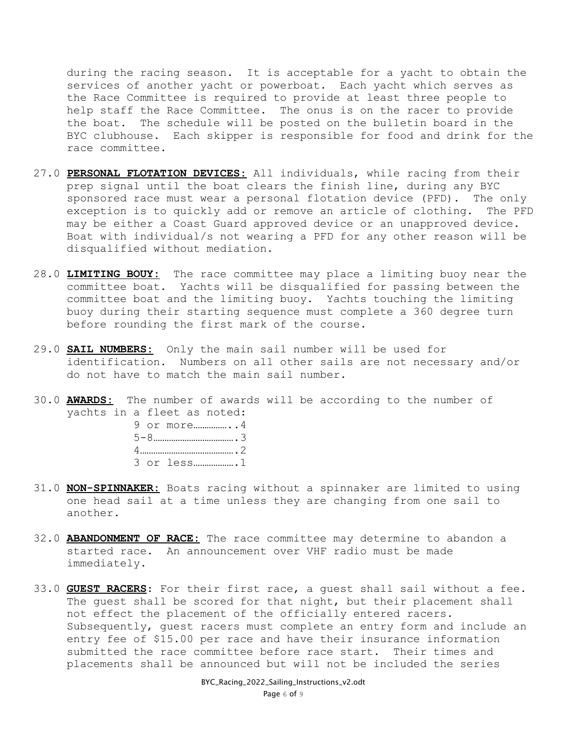during the racing season. It is acceptable for a yacht to obtain the services of another yacht or powerboat. Each yacht which serves as the Race Committee is required to provide at least three people to help staff the Race Committee. The onus is on the racer to provide the boat. The schedule will be posted on the bulletin board in the BYC clubhouse. Each skipper is responsible for food and drink for the race committee.

- 27.0 **PERSONAL FLOTATION DEVICES:** All individuals, while racing from their prep signal until the boat clears the finish line, during any BYC sponsored race must wear a personal flotation device (PFD). The only exception is to quickly add or remove an article of clothing. The PFD may be either a Coast Guard approved device or an unapproved device. Boat with individual/s not wearing a PFD for any other reason will be disqualified without mediation.
- 28.0 **LIMITING BOUY:** The race committee may place a limiting buoy near the committee boat. Yachts will be disqualified for passing between the committee boat and the limiting buoy. Yachts touching the limiting buoy during their starting sequence must complete a 360 degree turn before rounding the first mark of the course.
- 29.0 **SAIL NUMBERS:** Only the main sail number will be used for identification. Numbers on all other sails are not necessary and/or do not have to match the main sail number.
- 30.0 **A WARDS:** The number of awards will be according to the number of yachts in a fleet as noted: 9 or more……………..4 5-8……………………………….3 4…………………………………….2 3 or less……………….1
- 31.0 **NON-SPINNAKER:** Boats racing without a spinnaker are limited to using one head sail at a time unless they are changing from one sail to another**.**
- 32.0 **A BANDONMENT OF RACE:** The race committee may determine to abandon a started race. An announcement over VHF radio must be made immediately.
- 33.0 **GUEST RACERS**: For their first race, a quest shall sail without a fee. The quest shall be scored for that night, but their placement shall not effect the placement of the officially entered racers. Subsequently, guest racers must complete an entry form and include an entry fee of \$15.00 per race and have their insurance information submitted the race committee before race start. Their times and placements shall be announced but will not be included the series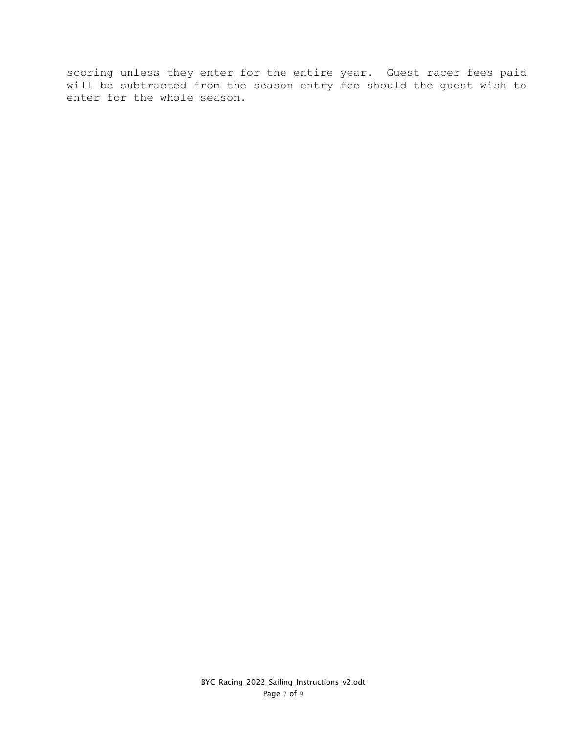scoring unless they enter for the entire year. Guest racer fees paid will be subtracted from the season entry fee should the guest wish to enter for the whole season.